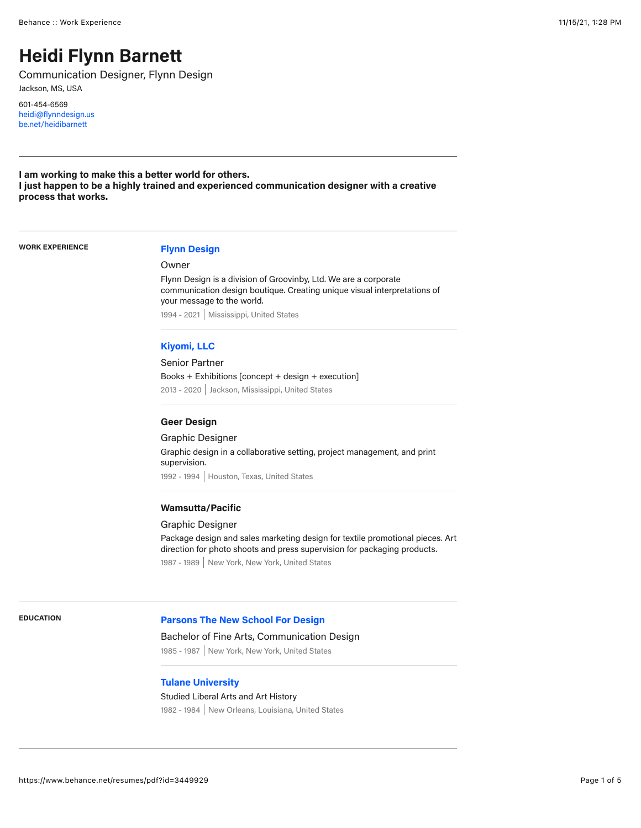# **Heidi Flynn Barnett**

Communication Designer, Flynn Design Jackson, MS, USA

601-454-6569 [heidi@flynndesign.us](mailto:heidi@flynndesign.us) [be.net/heidibarnett](http://be.net/heidibarnett)

**I am working to make this a better world for others. I just happen to be a highly trained and experienced communication designer with a creative process that works.**

**WORK EXPERIENCE [Flynn Design](http://www.flynndesign.us/)**

Owner

Flynn Design is a division of Groovinby, Ltd. We are a corporate communication design boutique. Creating unique visual interpretations of your message to the world. 1994 - 2021 Mississippi, United States

# **[Kiyomi, LLC](http://www.kiyomi.us.com/)**

Senior Partner Books + Exhibitions [concept + design + execution] 2013 - 2020 Jackson, Mississippi, United States

# **Geer Design**

Graphic Designer

Graphic design in a collaborative setting, project management, and print supervision. 1992 - 1994 | Houston, Texas, United States

#### **Wamsutta/Pacific**

### Graphic Designer

Package design and sales marketing design for textile promotional pieces. Art direction for photo shoots and press supervision for packaging products. 1987 - 1989 New York, New York, United States

# **EDUCATION [Parsons The New School For Design](https://www.newschool.edu/parsons/)**

#### Bachelor of Fine Arts, Communication Design

1985 - 1987 New York, New York, United States

# **[Tulane University](https://tulane.edu/)**

# Studied Liberal Arts and Art History

1982 - 1984 New Orleans, Louisiana, United States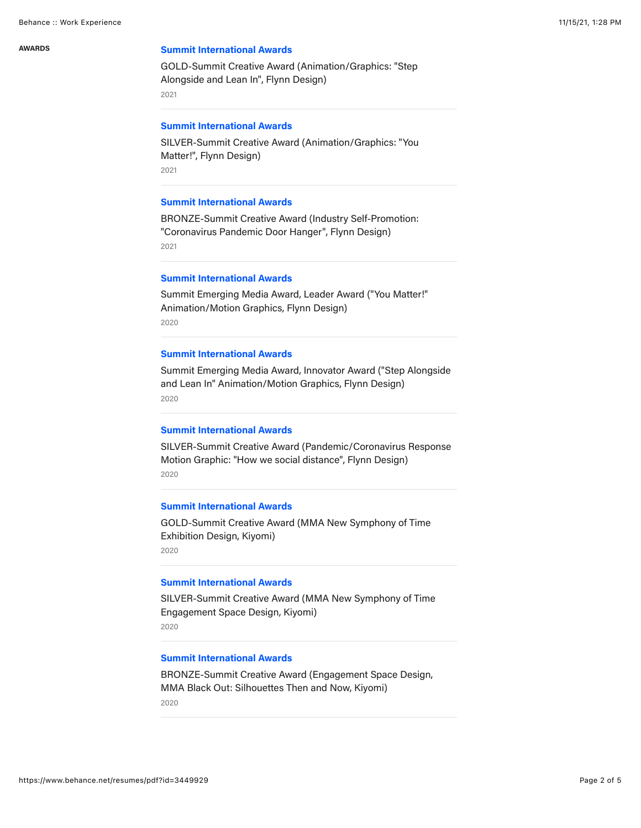# **AWARDS [Summit International Awards](https://www.summitawards.com/)**

GOLD-Summit Creative Award (Animation/Graphics: "Step Alongside and Lean In", Flynn Design) 2021

# **[Summit International Awards](https://www.summitawards.com/)**

SILVER-Summit Creative Award (Animation/Graphics: "You Matter!", Flynn Design) 2021

# **[Summit International Awards](https://www.summitawards.com/)**

BRONZE-Summit Creative Award (Industry Self-Promotion: "Coronavirus Pandemic Door Hanger", Flynn Design) 2021

### **[Summit International Awards](https://www.summitawards.com/)**

Summit Emerging Media Award, Leader Award ("You Matter!" Animation/Motion Graphics, Flynn Design) 2020

#### **[Summit International Awards](https://www.summitawards.com/)**

Summit Emerging Media Award, Innovator Award ("Step Alongside and Lean In" Animation/Motion Graphics, Flynn Design) 2020

# **[Summit International Awards](https://www.linkedin.com/posts/flynndesign_customcommunicationdesign-logoinspire-creativelogo-activity-6654773286167212032-fiha)**

SILVER-Summit Creative Award (Pandemic/Coronavirus Response Motion Graphic: "How we social distance", Flynn Design) 2020

# **[Summit International Awards](https://www.kiyomi.us.com/mma-nst-exhibition.php)**

GOLD-Summit Creative Award (MMA New Symphony of Time Exhibition Design, Kiyomi) 2020

#### **[Summit International Awards](https://www.kiyomi.us.com/mma-nst-exhibition.php)**

SILVER-Summit Creative Award (MMA New Symphony of Time Engagement Space Design, Kiyomi) 2020

#### **[Summit International Awards](https://www.kiyomi.us.com/mma-black-out-exhibition.php)**

BRONZE-Summit Creative Award (Engagement Space Design, MMA Black Out: Silhouettes Then and Now, Kiyomi) 2020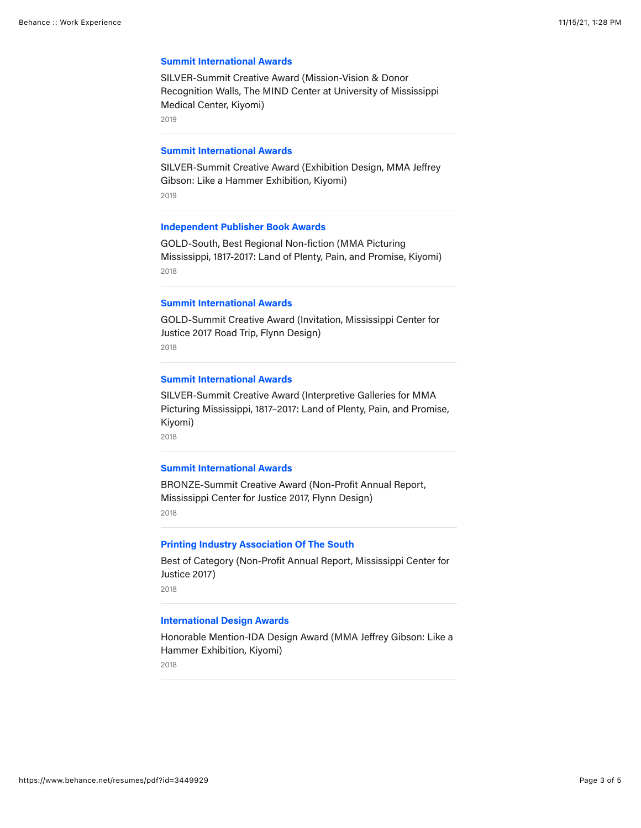#### **[Summit International Awards](https://www.kiyomi.us.com/tmc-mission-vision-donor-recognition-walls.php)**

SILVER-Summit Creative Award (Mission-Vision & Donor Recognition Walls, The MIND Center at University of Mississippi Medical Center, Kiyomi)

2019

#### **[Summit International Awards](https://www.kiyomi.us.com/mma-jeffrey-gibson-like-a-hammer-exhibition.php)**

SILVER-Summit Creative Award (Exhibition Design, MMA Jeffrey Gibson: Like a Hammer Exhibition, Kiyomi) 2019

#### **[Independent Publisher Book Awards](https://www.kiyomi.us.com/book-1.php)**

GOLD-South, Best Regional Non-fiction (MMA Picturing Mississippi, 1817-2017: Land of Plenty, Pain, and Promise, Kiyomi) 2018

### **[Summit International Awards](https://www.facebook.com/watch/?v=1275693715890506&extid=2NgrpRQ9ZkKE8RBf)**

GOLD-Summit Creative Award (Invitation, Mississippi Center for Justice 2017 Road Trip, Flynn Design)

2018

# **[Summit International Awards](https://summitawards.com/summit-creative-awards/sca-about/)**

SILVER-Summit Creative Award (Interpretive Galleries for MMA Picturing Mississippi, 1817–2017: Land of Plenty, Pain, and Promise, Kiyomi)

2018

#### **[Summit International Awards](https://www.behance.net/gallery/96720365/Mississippi-Center-for-Justice-Annual-Report-2017?tracking_source=search_users_recommended%7Cheidi%20flynn%20barnett)**

BRONZE-Summit Creative Award (Non-Profit Annual Report, Mississippi Center for Justice 2017, Flynn Design) 2018

#### **[Printing Industry Association Of The South](https://www.behance.net/gallery/96720365/Mississippi-Center-for-Justice-Annual-Report-2017?tracking_source=search_users_recommended%7Cheidi%20flynn%20barnett)**

Best of Category (Non-Profit Annual Report, Mississippi Center for Justice 2017) 2018

#### **[International Design Awards](https://www.kiyomi.us.com/mma-jeffrey-gibson-like-a-hammer-exhibition.php)**

Honorable Mention-IDA Design Award (MMA Jeffrey Gibson: Like a Hammer Exhibition, Kiyomi)

2018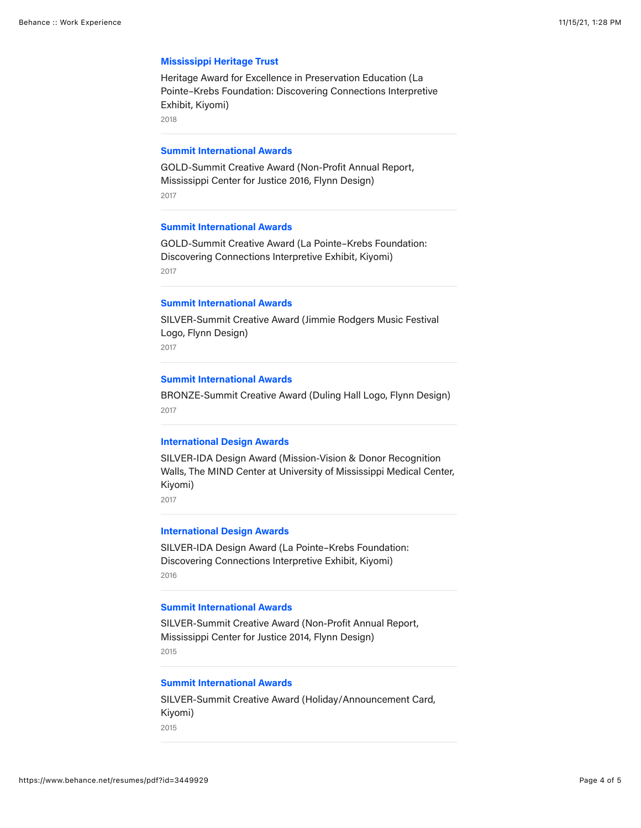#### **[Mississippi Heritage Trust](https://www.mississippiheritage.com/heritage-awards-2018)**

Heritage Award for Excellence in Preservation Education (La Pointe–Krebs Foundation: Discovering Connections Interpretive Exhibit, Kiyomi)

2018

#### **[Summit International Awards](https://www.behance.net/gallery/97048495/Mississippi-Center-for-Justice-Annual-Report-2016?tracking_source=search_users_recommended%7Cheidi%20flynn%20barnett)**

GOLD-Summit Creative Award (Non-Profit Annual Report, Mississippi Center for Justice 2016, Flynn Design) 2017

# **[Summit International Awards](https://summitawards.com/summit-creative-awards/sca-about/)**

GOLD-Summit Creative Award (La Pointe–Krebs Foundation: Discovering Connections Interpretive Exhibit, Kiyomi) 2017

### **[Summit International Awards](https://www.facebook.com/234317233361498/videos/598706320807974)**

SILVER-Summit Creative Award (Jimmie Rodgers Music Festival Logo, Flynn Design) 2017

# **[Summit International Awards](https://www.facebook.com/flynndesign.us/photos/a.235680273225194/3013712998755227/)**

BRONZE-Summit Creative Award (Duling Hall Logo, Flynn Design) 2017

# **[International Design Awards](https://www.kiyomi.us.com/tmc-mission-vision-donor-recognition-walls.php)**

SILVER-IDA Design Award (Mission-Vision & Donor Recognition Walls, The MIND Center at University of Mississippi Medical Center, Kiyomi)

2017

#### **[International Design Awards](https://idesignawards.com/)**

SILVER-IDA Design Award (La Pointe–Krebs Foundation: Discovering Connections Interpretive Exhibit, Kiyomi) 2016

#### **[Summit International Awards](https://www.flynndesign.us/annual-reports?pgid=j82tiuio-849e1720-e262-4466-995e-9d915c99eadb)**

SILVER-Summit Creative Award (Non-Profit Annual Report, Mississippi Center for Justice 2014, Flynn Design) 2015

# **[Summit International Awards](https://www.flynndesign.us/print?pgid=j830yowu-c23bfb2f-2622-4745-823a-e7cebfee989e)**

SILVER-Summit Creative Award (Holiday/Announcement Card, Kiyomi) 2015